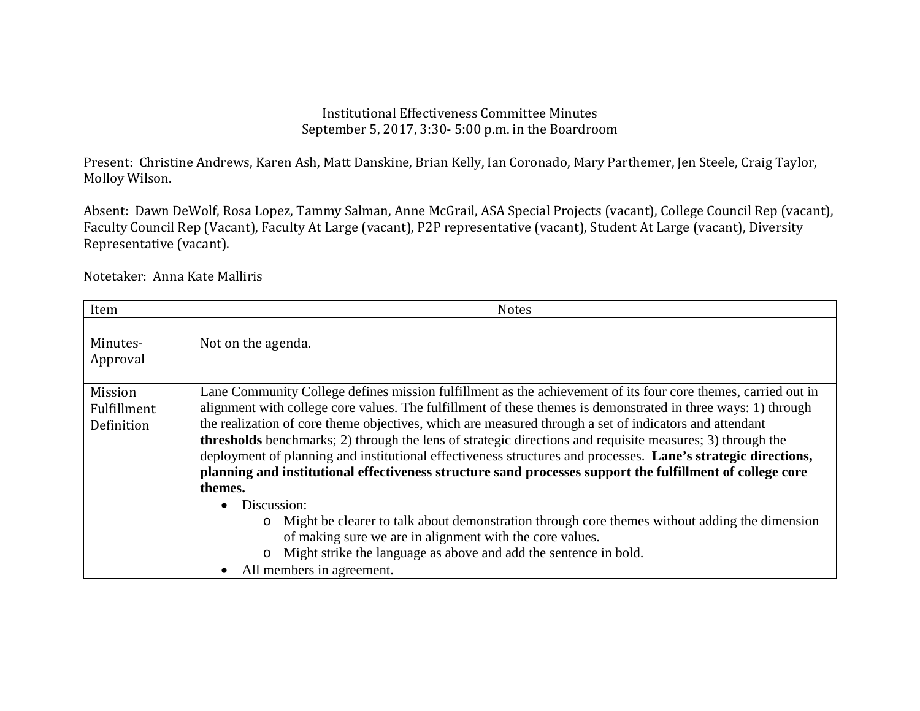## Institutional Effectiveness Committee Minutes September 5, 2017, 3:30- 5:00 p.m. in the Boardroom

Present: Christine Andrews, Karen Ash, Matt Danskine, Brian Kelly, Ian Coronado, Mary Parthemer, Jen Steele, Craig Taylor, Molloy Wilson.

Absent: Dawn DeWolf, Rosa Lopez, Tammy Salman, Anne McGrail, ASA Special Projects (vacant), College Council Rep (vacant), Faculty Council Rep (Vacant), Faculty At Large (vacant), P2P representative (vacant), Student At Large (vacant), Diversity Representative (vacant).

Notetaker: Anna Kate Malliris

| Item                                 | <b>Notes</b>                                                                                                                                                                                                                                                                                                                                                                                                                                                                                                                                                                                                                                                                                                                                                                                                                                                                                                                                                                                |
|--------------------------------------|---------------------------------------------------------------------------------------------------------------------------------------------------------------------------------------------------------------------------------------------------------------------------------------------------------------------------------------------------------------------------------------------------------------------------------------------------------------------------------------------------------------------------------------------------------------------------------------------------------------------------------------------------------------------------------------------------------------------------------------------------------------------------------------------------------------------------------------------------------------------------------------------------------------------------------------------------------------------------------------------|
| Minutes-<br>Approval                 | Not on the agenda.                                                                                                                                                                                                                                                                                                                                                                                                                                                                                                                                                                                                                                                                                                                                                                                                                                                                                                                                                                          |
| Mission<br>Fulfillment<br>Definition | Lane Community College defines mission fulfillment as the achievement of its four core themes, carried out in<br>alignment with college core values. The fulfillment of these themes is demonstrated in three ways: 1) through<br>the realization of core theme objectives, which are measured through a set of indicators and attendant<br>thresholds benchmarks; 2) through the lens of strategic directions and requisite measures; 3) through the<br>deployment of planning and institutional effectiveness structures and processes. Lane's strategic directions,<br>planning and institutional effectiveness structure sand processes support the fulfillment of college core<br>themes.<br>Discussion:<br>Might be clearer to talk about demonstration through core themes without adding the dimension<br>$\circ$<br>of making sure we are in alignment with the core values.<br>Might strike the language as above and add the sentence in bold.<br>O<br>All members in agreement. |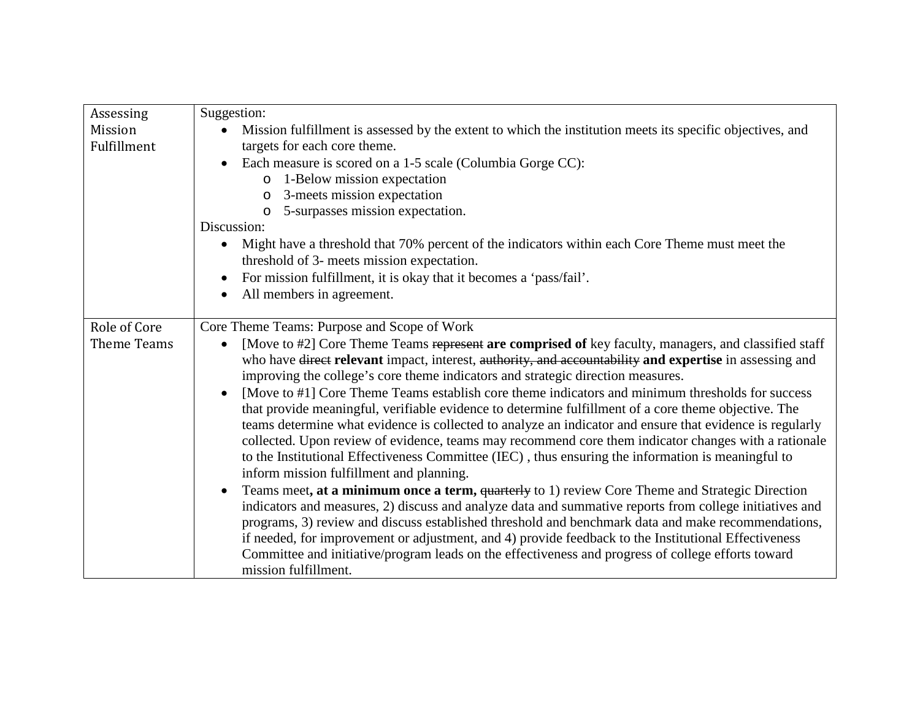| Assessing    | Suggestion:                                                                                                                                                                                                |
|--------------|------------------------------------------------------------------------------------------------------------------------------------------------------------------------------------------------------------|
| Mission      | Mission fulfillment is assessed by the extent to which the institution meets its specific objectives, and                                                                                                  |
| Fulfillment  | targets for each core theme.                                                                                                                                                                               |
|              | Each measure is scored on a 1-5 scale (Columbia Gorge CC):                                                                                                                                                 |
|              | o 1-Below mission expectation                                                                                                                                                                              |
|              | 3-meets mission expectation<br>$\circ$                                                                                                                                                                     |
|              | 5-surpasses mission expectation.<br>O                                                                                                                                                                      |
|              | Discussion:                                                                                                                                                                                                |
|              | Might have a threshold that 70% percent of the indicators within each Core Theme must meet the                                                                                                             |
|              | threshold of 3- meets mission expectation.                                                                                                                                                                 |
|              | For mission fulfillment, it is okay that it becomes a 'pass/fail'.<br>$\bullet$                                                                                                                            |
|              | All members in agreement.                                                                                                                                                                                  |
|              |                                                                                                                                                                                                            |
| Role of Core | Core Theme Teams: Purpose and Scope of Work                                                                                                                                                                |
| Theme Teams  | [Move to #2] Core Theme Teams represent are comprised of key faculty, managers, and classified staff                                                                                                       |
|              | who have direct relevant impact, interest, authority, and accountability and expertise in assessing and                                                                                                    |
|              | improving the college's core theme indicators and strategic direction measures.                                                                                                                            |
|              | [Move to #1] Core Theme Teams establish core theme indicators and minimum thresholds for success                                                                                                           |
|              | that provide meaningful, verifiable evidence to determine fulfillment of a core theme objective. The                                                                                                       |
|              | teams determine what evidence is collected to analyze an indicator and ensure that evidence is regularly                                                                                                   |
|              | collected. Upon review of evidence, teams may recommend core them indicator changes with a rationale                                                                                                       |
|              | to the Institutional Effectiveness Committee (IEC), thus ensuring the information is meaningful to                                                                                                         |
|              | inform mission fulfillment and planning.                                                                                                                                                                   |
|              | Teams meet, at a minimum once a term, quarterly to 1) review Core Theme and Strategic Direction<br>indicators and measures, 2) discuss and analyze data and summative reports from college initiatives and |
|              | programs, 3) review and discuss established threshold and benchmark data and make recommendations,                                                                                                         |
|              | if needed, for improvement or adjustment, and 4) provide feedback to the Institutional Effectiveness                                                                                                       |
|              | Committee and initiative/program leads on the effectiveness and progress of college efforts toward                                                                                                         |
|              | mission fulfillment.                                                                                                                                                                                       |
|              |                                                                                                                                                                                                            |